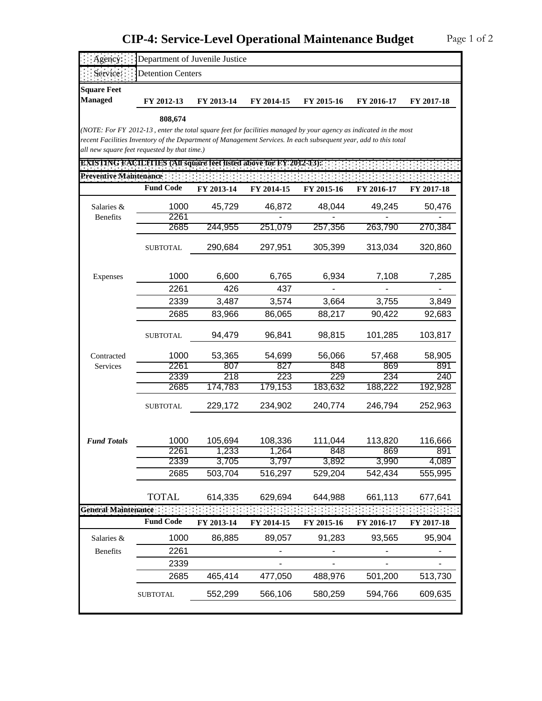## **CIP-4: Service-Level Operational Maintenance Budget**

| Agency:                                                                                                           | Department of Juvenile Justice                                                                                                                                   |                |                |                |                |                |  |  |
|-------------------------------------------------------------------------------------------------------------------|------------------------------------------------------------------------------------------------------------------------------------------------------------------|----------------|----------------|----------------|----------------|----------------|--|--|
| Service:                                                                                                          | <b>Detention Centers</b>                                                                                                                                         |                |                |                |                |                |  |  |
| <b>Square Feet</b><br><b>Managed</b>                                                                              | FY 2012-13                                                                                                                                                       | FY 2013-14     | FY 2014-15     | FY 2015-16     | FY 2016-17     | FY 2017-18     |  |  |
|                                                                                                                   | 808,674                                                                                                                                                          |                |                |                |                |                |  |  |
| (NOTE: For FY 2012-13, enter the total square feet for facilities managed by your agency as indicated in the most |                                                                                                                                                                  |                |                |                |                |                |  |  |
|                                                                                                                   | recent Facilities Inventory of the Department of Management Services. In each subsequent year, add to this total<br>all new square feet requested by that time.) |                |                |                |                |                |  |  |
|                                                                                                                   |                                                                                                                                                                  |                |                |                |                |                |  |  |
| <b>EXISTING FACILITIES (All square feet listed above for FY-2012-13):</b>                                         |                                                                                                                                                                  |                |                |                |                |                |  |  |
| Preventive Maintenance                                                                                            | <b>Fund Code</b>                                                                                                                                                 |                |                |                |                |                |  |  |
|                                                                                                                   |                                                                                                                                                                  | FY 2013-14     | FY 2014-15     | FY 2015-16     | FY 2016-17     | FY 2017-18     |  |  |
| Salaries &                                                                                                        | 1000                                                                                                                                                             | 45,729         | 46,872         | 48,044         | 49,245         | 50,476         |  |  |
| <b>Benefits</b>                                                                                                   | 2261                                                                                                                                                             |                |                |                |                |                |  |  |
|                                                                                                                   | 2685                                                                                                                                                             | 244,955        | 251,079        | 257,356        | 263,790        | 270,384        |  |  |
|                                                                                                                   | <b>SUBTOTAL</b>                                                                                                                                                  | 290,684        | 297,951        | 305,399        | 313,034        | 320,860        |  |  |
|                                                                                                                   |                                                                                                                                                                  |                |                |                |                |                |  |  |
| Expenses                                                                                                          | 1000                                                                                                                                                             | 6,600          | 6,765          | 6,934          | 7,108          | 7,285          |  |  |
|                                                                                                                   | 2261                                                                                                                                                             | 426            | 437            |                |                |                |  |  |
|                                                                                                                   | 2339                                                                                                                                                             | 3,487          | 3,574          | 3,664          | 3,755          | 3,849          |  |  |
|                                                                                                                   | 2685                                                                                                                                                             | 83,966         | 86,065         | 88,217         | 90,422         | 92,683         |  |  |
|                                                                                                                   | <b>SUBTOTAL</b>                                                                                                                                                  | 94,479         | 96,841         | 98,815         | 101,285        | 103,817        |  |  |
|                                                                                                                   |                                                                                                                                                                  |                |                |                |                |                |  |  |
| Contracted                                                                                                        | 1000                                                                                                                                                             | 53,365         | 54,699         | 56,066         | 57,468         | 58,905         |  |  |
| Services                                                                                                          | 2261                                                                                                                                                             | 807            | 827            | 848            | 869            | 891            |  |  |
|                                                                                                                   | 2339<br>2685                                                                                                                                                     | 218<br>174,783 | 223<br>179,153 | 229<br>183,632 | 234<br>188,222 | 240<br>192,928 |  |  |
|                                                                                                                   |                                                                                                                                                                  |                |                |                |                |                |  |  |
|                                                                                                                   | <b>SUBTOTAL</b>                                                                                                                                                  | 229,172        | 234,902        | 240,774        | 246,794        | 252,963        |  |  |
|                                                                                                                   |                                                                                                                                                                  |                |                |                |                |                |  |  |
| <b>Fund Totals</b>                                                                                                | 1000                                                                                                                                                             | 105,694        | 108,336        | 111,044        | 113,820        | 116,666        |  |  |
|                                                                                                                   | 2261                                                                                                                                                             | 1,233          | 1,264          | 848            | 869            | 891            |  |  |
|                                                                                                                   | 2339                                                                                                                                                             | 3,705          | 3,797          | 3,892          | 3,990          | 4,089          |  |  |
|                                                                                                                   | 2685                                                                                                                                                             | 503,704        | 516,297        | 529,204        | 542,434        | 555,995        |  |  |
|                                                                                                                   | TOTAL                                                                                                                                                            |                |                | 644,988        |                |                |  |  |
| General Maintenance                                                                                               |                                                                                                                                                                  | 614,335        | 629,694        |                | 661,113        | 677,641        |  |  |
|                                                                                                                   | <b>Fund Code</b>                                                                                                                                                 | FY 2013-14     | FY 2014-15     | FY 2015-16     | FY 2016-17     | FY 2017-18     |  |  |
| Salaries &                                                                                                        | 1000                                                                                                                                                             | 86,885         | 89,057         | 91,283         | 93,565         | 95,904         |  |  |
| Benefits                                                                                                          | 2261                                                                                                                                                             |                |                |                |                |                |  |  |
|                                                                                                                   | 2339                                                                                                                                                             |                |                |                |                |                |  |  |
|                                                                                                                   | 2685                                                                                                                                                             | 465,414        | 477,050        | 488,976        | 501,200        | 513,730        |  |  |
|                                                                                                                   | <b>SUBTOTAL</b>                                                                                                                                                  | 552,299        | 566,106        | 580,259        | 594,766        | 609,635        |  |  |
|                                                                                                                   |                                                                                                                                                                  |                |                |                |                |                |  |  |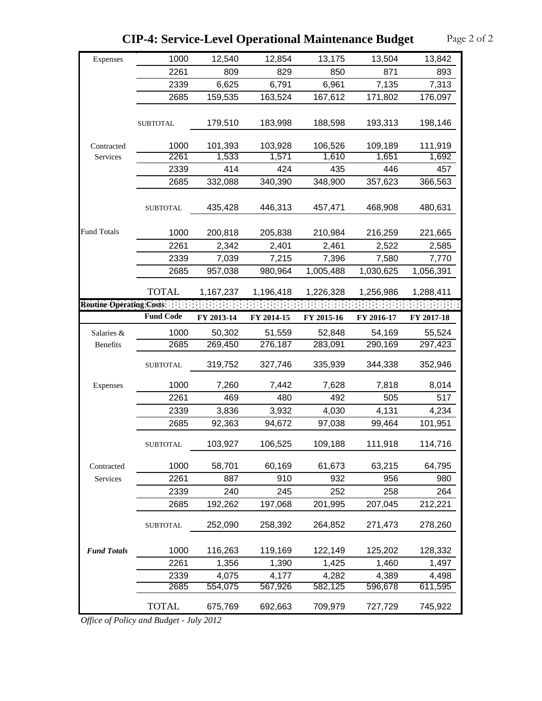| Expenses                 | 1000             | 12,540           | 12,854           | 13,175           | 13,504           | 13,842           |
|--------------------------|------------------|------------------|------------------|------------------|------------------|------------------|
|                          | 2261             | 809              | 829              | 850              | 871              | 893              |
|                          | 2339             | 6,625            | 6,791            | 6,961            | 7,135            | 7,313            |
|                          | 2685             | 159,535          | 163,524          | 167,612          | 171,802          | 176,097          |
|                          |                  |                  |                  |                  |                  |                  |
|                          | <b>SUBTOTAL</b>  | 179,510          | 183,998          | 188,598          | 193,313          | 198,146          |
|                          |                  |                  |                  |                  |                  |                  |
| Contracted               | 1000<br>2261     | 101,393<br>1,533 | 103,928<br>1,571 | 106,526<br>1,610 | 109,189<br>1,651 | 111,919<br>1,692 |
| Services                 |                  |                  |                  |                  |                  |                  |
|                          | 2339             | 414              | 424              | 435              | 446              | 457              |
|                          | 2685             | 332,088          | 340,390          | 348,900          | 357,623          | 366,563          |
|                          | <b>SUBTOTAL</b>  | 435,428          | 446,313          | 457,471          | 468,908          | 480,631          |
| <b>Fund Totals</b>       | 1000             | 200,818          | 205,838          | 210,984          | 216,259          | 221,665          |
|                          | 2261             | 2,342            | 2,401            | 2,461            | 2,522            | 2,585            |
|                          | 2339             | 7,039            | 7,215            | 7,396            | 7,580            | 7,770            |
|                          | 2685             | 957,038          | 980,964          | 1,005,488        | 1,030,625        | 1,056,391        |
|                          | <b>TOTAL</b>     | 1,167,237        | 1,196,418        | 1,226,328        | 1,256,986        | 1,288,411        |
| Routine Operating Costs: |                  |                  |                  |                  |                  |                  |
|                          | <b>Fund Code</b> | FY 2013-14       | FY 2014-15       | FY 2015-16       | FY 2016-17       | FY 2017-18       |
| Salaries &               | 1000             | 50,302           | 51,559           | 52,848           | 54,169           | 55,524           |
| Benefits                 | 2685             | 269,450          | 276,187          | 283,091          | 290,169          | 297,423          |
|                          | <b>SUBTOTAL</b>  | 319,752          | 327,746          | 335,939          | 344,338          | 352,946          |
| Expenses                 | 1000             | 7,260            | 7,442            | 7,628            | 7,818            | 8,014            |
|                          | 2261             | 469              | 480              | 492              | 505              | 517              |
|                          | 2339             | 3,836            | 3,932            | 4,030            | 4,131            | 4,234            |
|                          | 2685             | 92,363           | 94,672           | 97,038           | 99,464           | 101,951          |
|                          | SUBTOTAL         | 103,927          | 106,525          | 109,188          | 111,918          | 114,716          |
| Contracted               | 1000             | 58,701           | 60,169           | 61,673           | 63,215           | 64,795           |
| Services                 | 2261             | 887              | 910              | 932              | 956              | 980              |
|                          | 2339             | 240              | 245              | 252              | 258              | 264              |
|                          | 2685             | 192,262          | 197,068          | 201,995          | 207,045          | 212,221          |
|                          | <b>SUBTOTAL</b>  | 252,090          | 258,392          | 264,852          | 271,473          | 278,260          |
| <b>Fund Totals</b>       | 1000             | 116,263          | 119,169          | 122,149          | 125,202          | 128,332          |
|                          | 2261             | 1,356            | 1,390            | 1,425            | 1,460            | 1,497            |
|                          | 2339             | 4,075            | 4,177            | 4,282            | 4,389            | 4,498            |
|                          | 2685             | 554,075          | 567,926          | 582,125          | 596,678          | 611,595          |
|                          | <b>TOTAL</b>     | 675,769          | 692,663          | 709,979          | 727,729          | 745,922          |

**CIP-4: Service-Level Operational Maintenance Budget** Page 2 of 2

*Office of Policy and Budget - July 2012*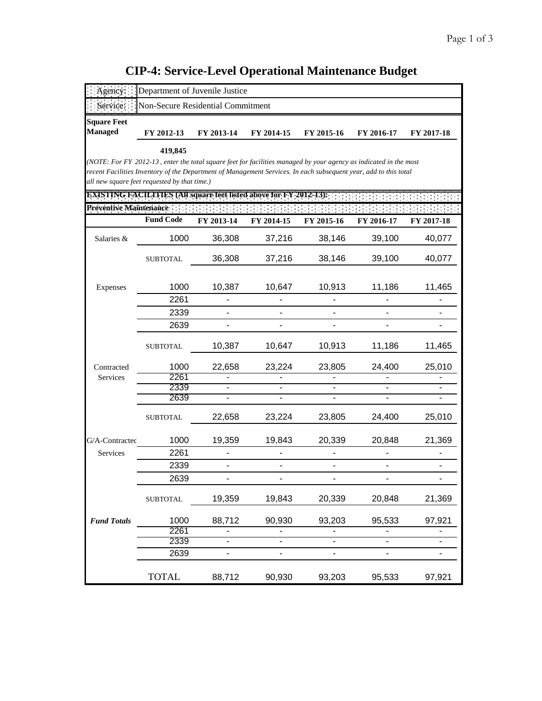## Page 1 of 3 **CIP-4: Service-Level Operational Maintenance Budget**

| gency                  | Department of Juvenile Justice                                                                                    |                          |                          |            |            |            |
|------------------------|-------------------------------------------------------------------------------------------------------------------|--------------------------|--------------------------|------------|------------|------------|
| Service:               | Non-Secure Residential Commitment                                                                                 |                          |                          |            |            |            |
| <b>Square Feet</b>     |                                                                                                                   |                          |                          |            |            |            |
| <b>Managed</b>         | FY 2012-13                                                                                                        | FY 2013-14               | FY 2014-15               | FY 2015-16 | FY 2016-17 | FY 2017-18 |
|                        | 419,845                                                                                                           |                          |                          |            |            |            |
|                        | (NOTE: For FY 2012-13, enter the total square feet for facilities managed by your agency as indicated in the most |                          |                          |            |            |            |
|                        | recent Facilities Inventory of the Department of Management Services. In each subsequent year, add to this total  |                          |                          |            |            |            |
|                        | all new square feet requested by that time.)                                                                      |                          |                          |            |            |            |
|                        | <b>EXISTING FACILITIES (All square feet listed above for FY 2012-13):</b>                                         |                          |                          |            |            |            |
| Preventive Maintenance |                                                                                                                   |                          |                          |            |            |            |
|                        | <b>Fund Code</b>                                                                                                  | FY 2013-14               | FY 2014-15               | FY 2015-16 | FY 2016-17 | FY 2017-18 |
| Salaries &             | 1000                                                                                                              | 36,308                   | 37,216                   | 38,146     | 39,100     | 40,077     |
|                        | <b>SUBTOTAL</b>                                                                                                   | 36,308                   | 37,216                   | 38,146     | 39,100     | 40,077     |
|                        |                                                                                                                   |                          |                          |            |            |            |
| Expenses               | 1000                                                                                                              | 10,387                   | 10,647                   | 10,913     | 11,186     | 11,465     |
|                        | 2261                                                                                                              |                          |                          |            |            |            |
|                        | 2339                                                                                                              |                          |                          |            |            |            |
|                        | 2639                                                                                                              | $\overline{\phantom{a}}$ |                          |            |            |            |
|                        | <b>SUBTOTAL</b>                                                                                                   | 10,387                   | 10,647                   | 10,913     | 11,186     | 11,465     |
| Contracted             | 1000                                                                                                              | 22,658                   | 23,224                   | 23,805     | 24,400     | 25,010     |
| Services               | 2261                                                                                                              |                          |                          |            |            |            |
|                        | 2339                                                                                                              |                          |                          |            |            |            |
|                        | 2639                                                                                                              |                          |                          |            |            |            |
|                        | <b>SUBTOTAL</b>                                                                                                   | 22,658                   | 23,224                   | 23,805     | 24,400     | 25,010     |
| G/A-Contracted         | 1000                                                                                                              | 19,359                   | 19,843                   | 20,339     | 20,848     | 21,369     |
| Services               | 2261                                                                                                              |                          |                          |            |            |            |
|                        | 2339                                                                                                              |                          |                          |            |            |            |
|                        | 2639                                                                                                              |                          |                          |            |            |            |
|                        |                                                                                                                   |                          |                          |            |            |            |
|                        | <b>SUBTOTAL</b>                                                                                                   | 19,359                   | 19,843                   | 20,339     | 20,848     | 21,369     |
| <b>Fund Totals</b>     | 1000                                                                                                              | 88,712                   | 90,930                   | 93,203     | 95,533     | 97,921     |
|                        | 2261                                                                                                              |                          |                          |            |            |            |
|                        | 2339                                                                                                              | $\overline{\phantom{0}}$ | $\overline{\phantom{0}}$ |            |            |            |
|                        | 2639                                                                                                              |                          |                          |            |            |            |
|                        | <b>TOTAL</b>                                                                                                      | 88,712                   | 90,930                   | 93,203     | 95,533     | 97,921     |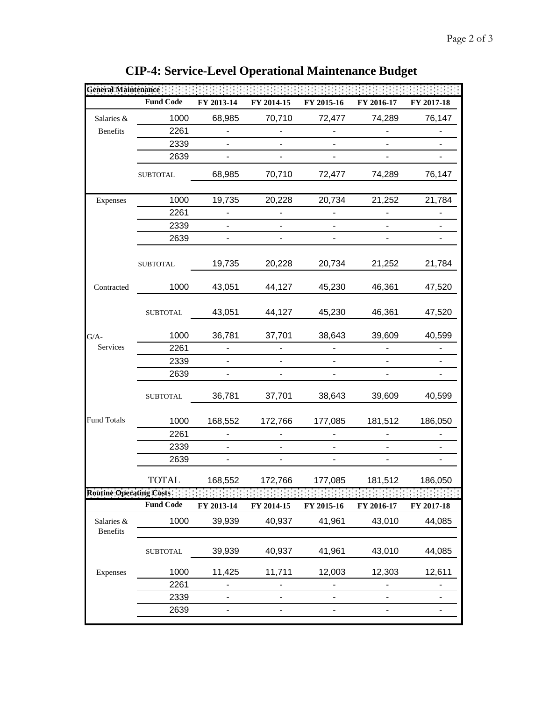| Géneral Maintenance            |                  |                              |                              |                          |                          |            |
|--------------------------------|------------------|------------------------------|------------------------------|--------------------------|--------------------------|------------|
|                                | <b>Fund Code</b> | FY 2013-14                   | FY 2014-15                   | FY 2015-16               | FY 2016-17               | FY 2017-18 |
| Salaries &                     | 1000             | 68,985                       | 70,710                       | 72,477                   | 74,289                   | 76,147     |
| <b>Benefits</b>                | 2261             |                              |                              |                          |                          |            |
|                                | 2339             |                              |                              |                          |                          |            |
|                                | 2639             | -                            | $\overline{\phantom{a}}$     | $\blacksquare$           | $\overline{\phantom{a}}$ |            |
|                                | <b>SUBTOTAL</b>  | 68,985                       | 70,710                       | 72,477                   | 74,289                   | 76,147     |
| Expenses                       | 1000             | 19,735                       | 20,228                       | 20,734                   | 21,252                   | 21,784     |
|                                | 2261             |                              |                              |                          |                          |            |
|                                | 2339             | $\overline{\phantom{a}}$     |                              | $\overline{\phantom{0}}$ |                          |            |
|                                | 2639             |                              |                              |                          |                          |            |
|                                | <b>SUBTOTAL</b>  | 19,735                       | 20,228                       | 20,734                   | 21,252                   | 21,784     |
| Contracted                     | 1000             | 43,051                       | 44,127                       | 45,230                   | 46,361                   | 47,520     |
|                                | <b>SUBTOTAL</b>  | 43,051                       | 44,127                       | 45,230                   | 46,361                   | 47,520     |
| $G/A-$                         | 1000             | 36,781                       | 37,701                       | 38,643                   | 39,609                   | 40,599     |
| Services                       | 2261             |                              |                              |                          |                          |            |
|                                | 2339             |                              |                              |                          |                          |            |
|                                | 2639             |                              |                              |                          |                          |            |
|                                | <b>SUBTOTAL</b>  | 36,781                       | 37,701                       | 38,643                   | 39,609                   | 40,599     |
| <b>Fund Totals</b>             | 1000             | 168,552                      | 172,766                      | 177,085                  | 181,512                  | 186,050    |
|                                | 2261             |                              |                              |                          |                          |            |
|                                | 2339             |                              |                              |                          |                          |            |
|                                | 2639             |                              |                              |                          |                          |            |
|                                | TOTAL            | 168,552                      | 172,766                      | 177,085                  | 181,512                  | 186,050    |
| <b>Routine Operating Costs</b> |                  |                              |                              |                          |                          |            |
|                                | <b>Fund Code</b> | FY 2013-14                   | FY 2014-15                   | FY 2015-16               | FY 2016-17               | FY 2017-18 |
| Salaries &<br>Benefits         | 1000             | 39,939                       | 40,937                       | 41,961                   | 43,010                   | 44,085     |
|                                | <b>SUBTOTAL</b>  | 39,939                       | 40,937                       | 41,961                   | 43,010                   | 44,085     |
| Expenses                       | 1000             | 11,425                       | 11,711                       | 12,003                   | 12,303                   | 12,611     |
|                                | 2261             |                              |                              |                          |                          |            |
|                                | 2339             | $\qquad \qquad \blacksquare$ | $\qquad \qquad \blacksquare$ | $\overline{\phantom{m}}$ | $\overline{\phantom{m}}$ | ۳          |
|                                | 2639             |                              |                              |                          |                          |            |

**CIP-4: Service-Level Operational Maintenance Budget**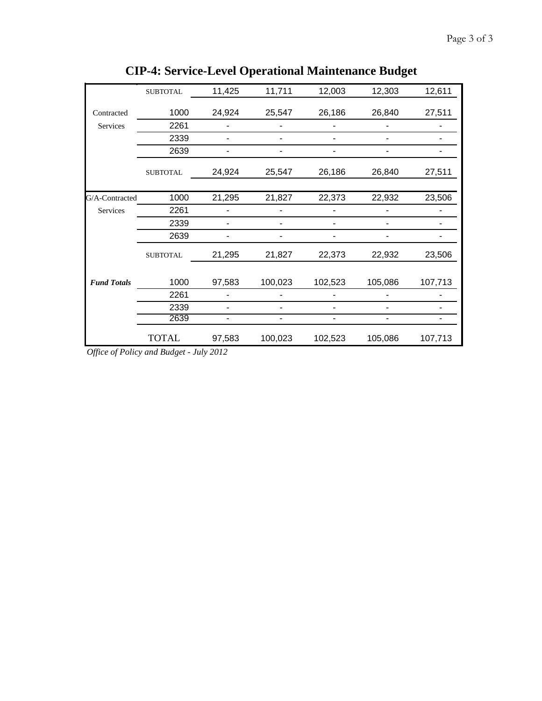|                    | <b>SUBTOTAL</b> | 11,425 | 11,711  | 12,003  | 12,303  | 12,611  |
|--------------------|-----------------|--------|---------|---------|---------|---------|
| Contracted         | 1000            | 24,924 | 25,547  | 26,186  | 26,840  | 27,511  |
| Services           | 2261            |        |         |         |         |         |
|                    | 2339            |        |         |         |         |         |
|                    | 2639            |        |         |         |         |         |
|                    | <b>SUBTOTAL</b> | 24,924 | 25,547  | 26,186  | 26,840  | 27,511  |
| G/A-Contracted     | 1000            | 21,295 | 21,827  | 22,373  | 22,932  | 23,506  |
| Services           | 2261            |        |         |         |         |         |
|                    | 2339            |        |         |         |         |         |
|                    | 2639            |        |         |         |         |         |
|                    | <b>SUBTOTAL</b> | 21,295 | 21,827  | 22,373  | 22,932  | 23,506  |
| <b>Fund Totals</b> | 1000            | 97,583 | 100,023 | 102,523 | 105,086 | 107,713 |
|                    | 2261            |        |         |         |         |         |
|                    | 2339            |        |         |         |         |         |
|                    | 2639            | ۰      |         | ۰       |         |         |
|                    | <b>TOTAL</b>    | 97,583 | 100,023 | 102,523 | 105,086 | 107,713 |

**CIP-4: Service-Level Operational Maintenance Budget**

*Office of Policy and Budget - July 2012*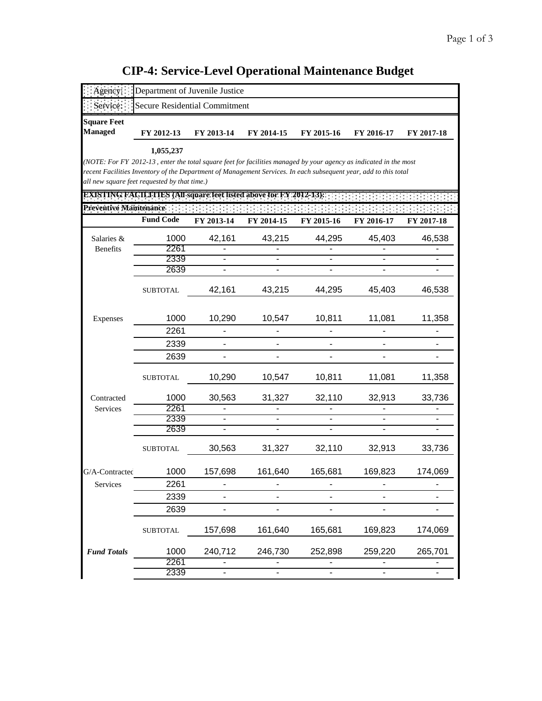## **Managed FY 2012-13 FY 2013-14 FY 2014-15 FY 2015-16 FY 2016-17 FY 2017-18** *(NOTE: For FY 2012-13 , enter the total square feet for facilities managed by your agency as indicated in the most*

| recent Facilities Inventory of the Department of Management Services. In each subsequent year, add to this total<br>all new square feet requested by that time.) |                  |                              |                          |                |                          |            |
|------------------------------------------------------------------------------------------------------------------------------------------------------------------|------------------|------------------------------|--------------------------|----------------|--------------------------|------------|
| <b>EXISTING FACILITIES (All square feet listed above for FY 2012-13):</b>                                                                                        |                  |                              |                          |                |                          |            |
| Preventive Maintenance :                                                                                                                                         |                  |                              |                          |                |                          |            |
|                                                                                                                                                                  | <b>Fund Code</b> | FY 2013-14                   | FY 2014-15               | FY 2015-16     | FY 2016-17               | FY 2017-18 |
| Salaries &                                                                                                                                                       | 1000             | 42,161                       | 43,215                   | 44,295         | 45,403                   | 46,538     |
| <b>Benefits</b>                                                                                                                                                  | 2261             |                              |                          |                |                          |            |
|                                                                                                                                                                  | 2339             |                              |                          |                |                          |            |
|                                                                                                                                                                  | 2639             | $\blacksquare$               | $\overline{\phantom{0}}$ | $\blacksquare$ | L.                       |            |
|                                                                                                                                                                  | <b>SUBTOTAL</b>  | 42,161                       | 43,215                   | 44,295         | 45,403                   | 46,538     |
| Expenses                                                                                                                                                         | 1000             | 10,290                       | 10,547                   | 10,811         | 11,081                   | 11,358     |
|                                                                                                                                                                  | 2261             | $\overline{\phantom{0}}$     |                          |                |                          |            |
|                                                                                                                                                                  | 2339             |                              |                          |                |                          |            |
|                                                                                                                                                                  | 2639             | $\overline{\phantom{0}}$     | ÷,                       | $\blacksquare$ |                          |            |
|                                                                                                                                                                  | <b>SUBTOTAL</b>  | 10,290                       | 10,547                   | 10,811         | 11,081                   | 11,358     |
| Contracted                                                                                                                                                       | 1000             | 30,563                       | 31,327                   | 32,110         | 32,913                   | 33,736     |
| Services                                                                                                                                                         | 2261             |                              |                          |                |                          |            |
|                                                                                                                                                                  | 2339             | $\overline{\phantom{a}}$     | $\overline{\phantom{0}}$ |                | $\overline{\phantom{a}}$ |            |
|                                                                                                                                                                  | 2639             | $\overline{\phantom{0}}$     |                          |                |                          |            |
|                                                                                                                                                                  | <b>SUBTOTAL</b>  | 30,563                       | 31,327                   | 32,110         | 32,913                   | 33,736     |
| G/A-Contracted                                                                                                                                                   | 1000             | 157,698                      | 161,640                  | 165,681        | 169,823                  | 174,069    |
| Services                                                                                                                                                         | 2261             |                              |                          |                |                          |            |
|                                                                                                                                                                  | 2339             | $\overline{a}$               |                          |                | ÷,                       |            |
|                                                                                                                                                                  | 2639             | $\qquad \qquad \blacksquare$ |                          | ä,             |                          |            |
|                                                                                                                                                                  | <b>SUBTOTAL</b>  | 157,698                      | 161,640                  | 165,681        | 169,823                  | 174,069    |
| <b>Fund Totals</b>                                                                                                                                               | 1000             | 240,712                      | 246,730                  | 252,898        | 259,220                  | 265,701    |
|                                                                                                                                                                  | 2261             |                              |                          |                |                          |            |
|                                                                                                                                                                  | 2339             | $\blacksquare$               | $\overline{\phantom{0}}$ | $\blacksquare$ | $\overline{\phantom{0}}$ |            |

## **CIP-4: Service-Level Operational Maintenance Budget**

Agency: Department of Juvenile Justice Service: Secure Residential Commitment

 **1,055,237**

**Square Feet**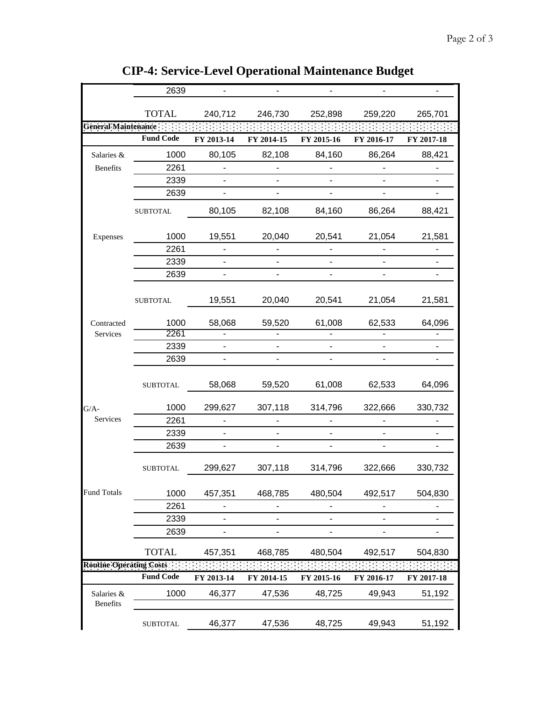|                                | 2639             |                          |                          |                              |            |            |
|--------------------------------|------------------|--------------------------|--------------------------|------------------------------|------------|------------|
|                                | <b>TOTAL</b>     | 240,712                  | 246,730                  | 252,898                      | 259,220    | 265,701    |
| General Maintenance:           |                  |                          |                          |                              |            |            |
|                                | <b>Fund Code</b> | FY 2013-14               | FY 2014-15               | FY 2015-16                   | FY 2016-17 | FY 2017-18 |
| Salaries &                     | 1000             | 80,105                   | 82,108                   | 84,160                       | 86,264     | 88,421     |
| Benefits                       | 2261             |                          |                          |                              |            |            |
|                                | 2339             |                          |                          |                              |            |            |
|                                | 2639             |                          |                          |                              |            |            |
|                                | <b>SUBTOTAL</b>  | 80,105                   | 82,108                   | 84,160                       | 86,264     | 88,421     |
| Expenses                       | 1000             | 19,551                   | 20,040                   | 20,541                       | 21,054     | 21,581     |
|                                | 2261             |                          |                          |                              |            |            |
|                                | 2339             |                          |                          |                              |            |            |
|                                | 2639             | $\blacksquare$           |                          | ä,                           |            |            |
|                                | <b>SUBTOTAL</b>  | 19,551                   | 20,040                   | 20,541                       | 21,054     | 21,581     |
| Contracted                     | 1000             | 58,068                   | 59,520                   | 61,008                       | 62,533     | 64,096     |
| Services                       | 2261             |                          |                          |                              |            |            |
|                                | 2339             |                          |                          | $\overline{\phantom{0}}$     |            |            |
|                                | 2639             |                          |                          | ÷.                           |            |            |
|                                | <b>SUBTOTAL</b>  | 58,068                   | 59,520                   | 61,008                       | 62,533     | 64,096     |
| $G/A-$                         | 1000             | 299,627                  | 307,118                  | 314,796                      | 322,666    | 330,732    |
| Services                       | 2261             |                          |                          |                              |            |            |
|                                | 2339             |                          |                          | $\blacksquare$               |            |            |
|                                | 2639             |                          |                          |                              |            |            |
|                                | <b>SUBTOTAL</b>  | 299,627                  | 307,118                  | 314,796                      | 322,666    | 330,732    |
| <b>Fund Totals</b>             | 1000             | 457,351                  | 468,785                  | 480,504                      | 492,517    | 504,830    |
|                                | 2261             |                          |                          |                              |            |            |
|                                | 2339             | $\overline{\phantom{0}}$ | $\overline{\phantom{0}}$ | $\qquad \qquad \blacksquare$ |            | ٠          |
|                                | 2639             | $\overline{\phantom{0}}$ |                          |                              |            |            |
|                                | <b>TOTAL</b>     | 457,351                  | 468,785                  | 480,504                      | 492,517    | 504,830    |
| <b>Routine Operating Costs</b> |                  |                          |                          |                              |            |            |
|                                | <b>Fund Code</b> | FY 2013-14               | FY 2014-15               | FY 2015-16                   | FY 2016-17 | FY 2017-18 |
| Salaries &<br>Benefits         | 1000             | 46,377                   | 47,536                   | 48,725                       | 49,943     | 51,192     |
|                                | <b>SUBTOTAL</b>  | 46,377                   | 47,536                   | 48,725                       | 49,943     | 51,192     |

**CIP-4: Service-Level Operational Maintenance Budget**